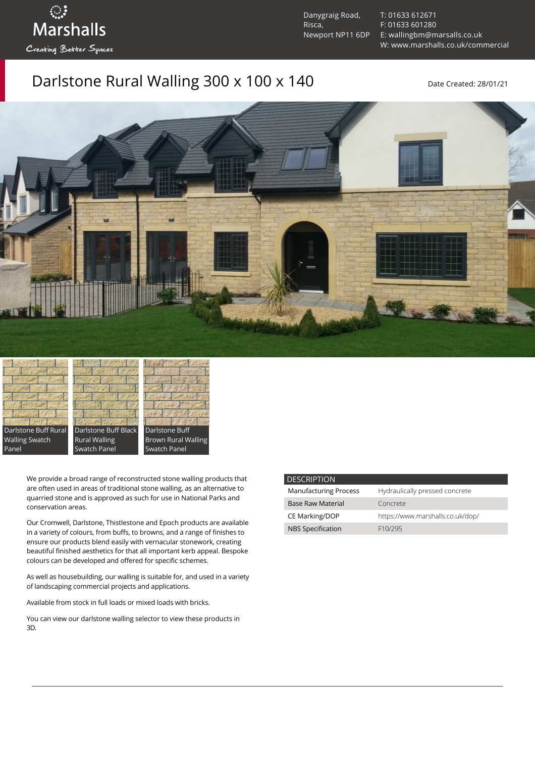ः<br>Marshalls Creating Better Spaces

Danygraig Road, Risca, Newport NP11 6DP [T: 01633 612671](tel:01633%20612671) [F: 01633 601280](tel:01633%20601280) [E: wallingbm@marsalls.co.uk](mailto:wallingbm@marsalls.co.uk) [W: www.marshalls.co.uk/commercial](https://www.marshalls.co.uk/commercial)

## Darlstone Rural Walling 300 x 100 x 140 Date Created: 28/01/21



Darlstone Buff Rural Walling Swatch Panel

Darlstone Buff Black Rural Walling Swatch Panel



We provide a broad range of reconstructed stone walling products that are often used in areas of traditional stone walling, as an alternative to quarried stone and is approved as such for use in National Parks and conservation areas.

Our [Cromwell](https://www.marshalls.co.uk/commercial/product/cromwell-stone-walling), Darlstone, [Thistlestone](https://www.marshalls.co.uk/commercial/product/thistlestone-stone-walling) and Epoch products are available in a variety of colours, from buffs, to browns, and a range of finishes to ensure our products blend easily with vernacular stonework, creating beautiful finished aesthetics for that all important kerb appeal. Bespoke colours can be developed and offered for specific schemes.

As well as housebuilding, our walling is suitable for, and used in a variety of landscaping commercial projects and applications.

Available from stock in full loads or mixed loads with bricks.

You can view our [darlstone walling selector](https://www.paverpicker.com/paverpicker/?u=edenhall&cat=walling&subcat=darlstone_walling) to view these products in 3D.

| <b>DESCRIPTION</b>           |                                  |
|------------------------------|----------------------------------|
| <b>Manufacturing Process</b> | Hydraulically pressed concrete   |
| <b>Base Raw Material</b>     | Concrete                         |
| <b>CE Marking/DOP</b>        | https://www.marshalls.co.uk/dop/ |
| <b>NBS Specification</b>     | F <sub>10</sub> /295             |
|                              |                                  |